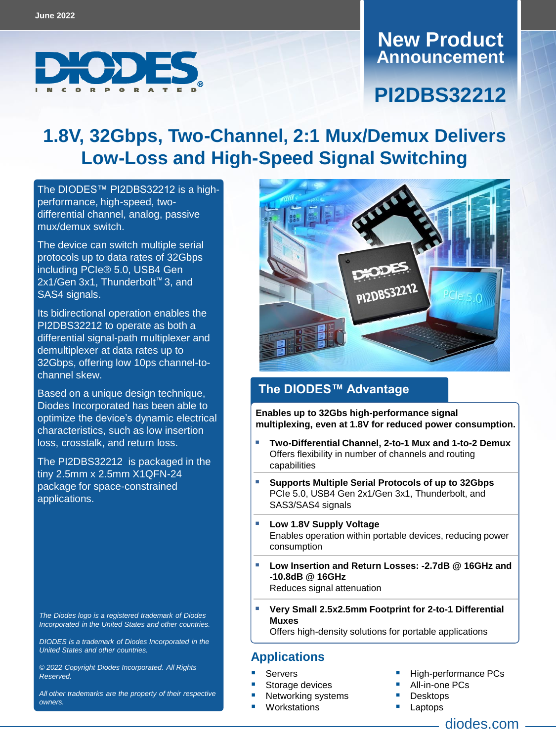

# **Announcement New Product**

# **PI2DBS32212**

# **1.8V, 32Gbps, Two-Channel, 2:1 Mux/Demux Delivers Low-Loss and High-Speed Signal Switching**

The DIODES™ [PI2DBS32212](https://www.diodes.com/part/PI2DBS32212) is a highperformance, high-speed, twodifferential channel, analog, passive mux/demux switch.

The device can switch multiple serial protocols up to data rates of 32Gbps including PCIe® 5.0, USB4 Gen 2x1/Gen 3x1, Thunderbolt<sup>™</sup> 3, and SAS4 signals.

Its bidirectional operation enables the PI2DBS32212 to operate as both a differential signal-path multiplexer and demultiplexer at data rates up to 32Gbps, offering low 10ps channel-tochannel skew.

Based on a unique design technique, Diodes Incorporated has been able to optimize the device's dynamic electrical characteristics, such as low insertion loss, crosstalk, and return loss.

The PI2DBS32212 is packaged in the tiny 2.5mm x 2.5mm X1QFN-24 package for space-constrained applications.

*The Diodes logo is a registered trademark of Diodes Incorporated in the United States and other countries.* 

*DIODES is a trademark of Diodes Incorporated in the United States and other countries.* 

*© 2022 Copyright Diodes Incorporated. All Rights Reserved.*

*All other trademarks are the property of their respective owners.*



#### **The DIODES™ Advantage**

**Enables up to 32Gbs high-performance signal multiplexing, even at 1.8V for reduced power consumption.**

- **Two-Differential Channel, 2-to-1 Mux and 1-to-2 Demux** Offers flexibility in number of channels and routing capabilities
- **Supports Multiple Serial Protocols of up to 32Gbps** PCIe 5.0, USB4 Gen 2x1/Gen 3x1, Thunderbolt, and SAS3/SAS4 signals
- **Low 1.8V Supply Voltage** Enables operation within portable devices, reducing power consumption
- **Low Insertion and Return Losses: -2.7dB @ 16GHz and -10.8dB @ 16GHz** Reduces signal attenuation
- **Very Small 2.5x2.5mm Footprint for 2-to-1 Differential Muxes**

Offers high-density solutions for portable applications

#### **Applications**

- **Servers**
- Storage devices
- Networking systems
- Workstations
- High-performance PCs
- All-in-one PCs
- Desktops
- **Laptops** 
	- diodes.com